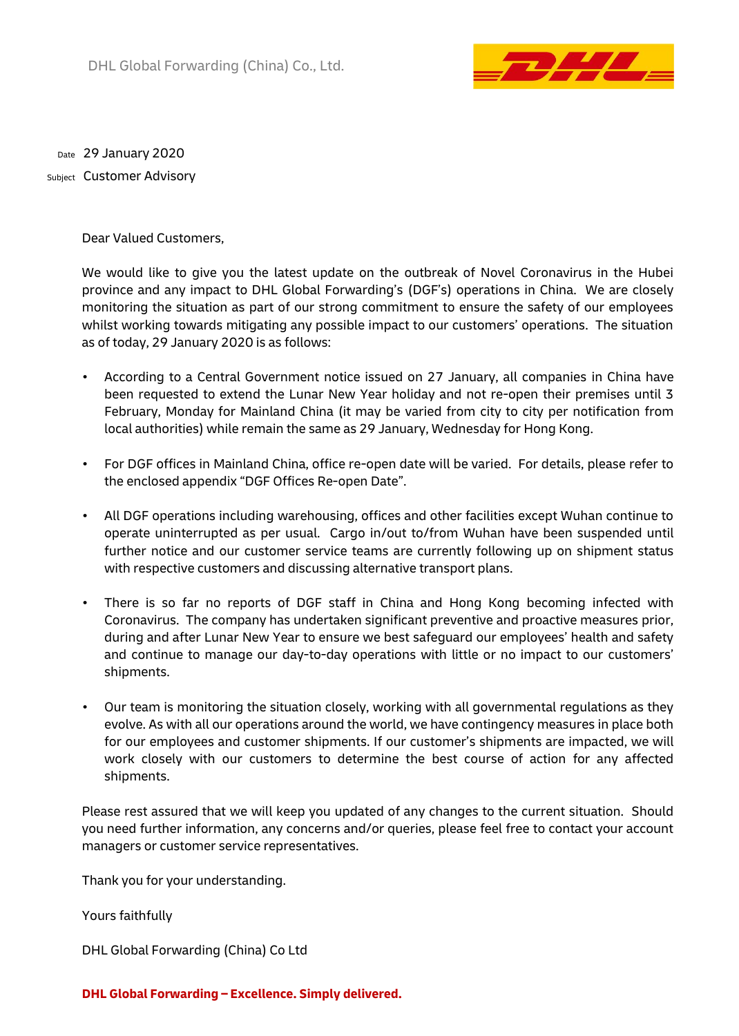

29 January 2020 Date <sub>Subject</sub> Customer Advisory

Dear Valued Customers,

We would like to give you the latest update on the outbreak of Novel Coronavirus in the Hubei province and any impact to DHL Global Forwarding's (DGF's) operations in China. We are closely monitoring the situation as part of our strong commitment to ensure the safety of our employees whilst working towards mitigating any possible impact to our customers' operations. The situation as of today, 29 January 2020 is as follows:

- According to a Central Government notice issued on 27 January, all companies in China have been requested to extend the Lunar New Year holiday and not re-open their premises until 3 February, Monday for Mainland China (it may be varied from city to city per notification from local authorities) while remain the same as 29 January, Wednesday for Hong Kong.
- For DGF offices in Mainland China, office re-open date will be varied. For details, please refer to the enclosed appendix "DGF Offices Re-open Date".
- All DGF operations including warehousing, offices and other facilities except Wuhan continue to operate uninterrupted as per usual. Cargo in/out to/from Wuhan have been suspended until further notice and our customer service teams are currently following up on shipment status with respective customers and discussing alternative transport plans.
- There is so far no reports of DGF staff in China and Hong Kong becoming infected with Coronavirus. The company has undertaken significant preventive and proactive measures prior, during and after Lunar New Year to ensure we best safeguard our employees' health and safety and continue to manage our day-to-day operations with little or no impact to our customers' shipments.
- Our team is monitoring the situation closely, working with all governmental regulations as they evolve. As with all our operations around the world, we have contingency measures in place both for our employees and customer shipments. If our customer's shipments are impacted, we will work closely with our customers to determine the best course of action for any affected shipments.

Please rest assured that we will keep you updated of any changes to the current situation. Should you need further information, any concerns and/or queries, please feel free to contact your account managers or customer service representatives.

Thank you for your understanding.

Yours faithfully

DHL Global Forwarding (China) Co Ltd